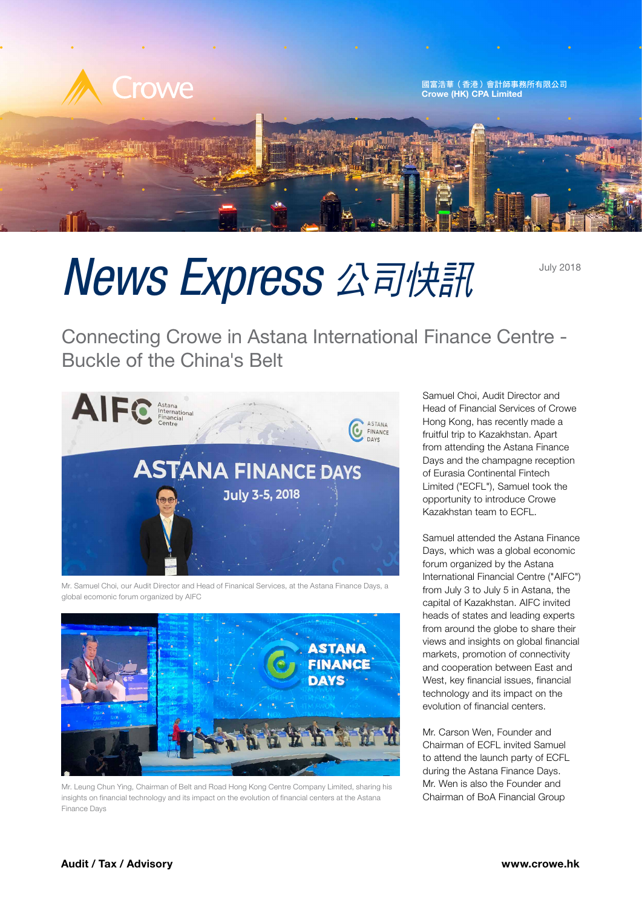

## News Express 公司快訊

Connecting Crowe in Astana International Finance Centre - Buckle of the China's Belt



Mr. Samuel Choi, our Audit Director and Head of Finanical Services, at the Astana Finance Days, a global ecomonic forum organized by AIFC



Mr. Leung Chun Ying, Chairman of Belt and Road Hong Kong Centre Company Limited, sharing his insights on financial technology and its impact on the evolution of financial centers at the Astana Finance Days

Samuel Choi, Audit Director and Head of Financial Services of Crowe Hong Kong, has recently made a fruitful trip to Kazakhstan. Apart from attending the Astana Finance Days and the champagne reception of Eurasia Continental Fintech Limited ("ECFL"), Samuel took the opportunity to introduce Crowe Kazakhstan team to ECFL.

Samuel attended the Astana Finance Days, which was a global economic forum organized by the Astana International Financial Centre ("AIFC") from July 3 to July 5 in Astana, the capital of Kazakhstan. AIFC invited heads of states and leading experts from around the globe to share their views and insights on global financial markets, promotion of connectivity and cooperation between East and West, key financial issues, financial technology and its impact on the evolution of financial centers.

Mr. Carson Wen, Founder and Chairman of ECFL invited Samuel to attend the launch party of ECFL during the Astana Finance Days. Mr. Wen is also the Founder and Chairman of BoA Financial Group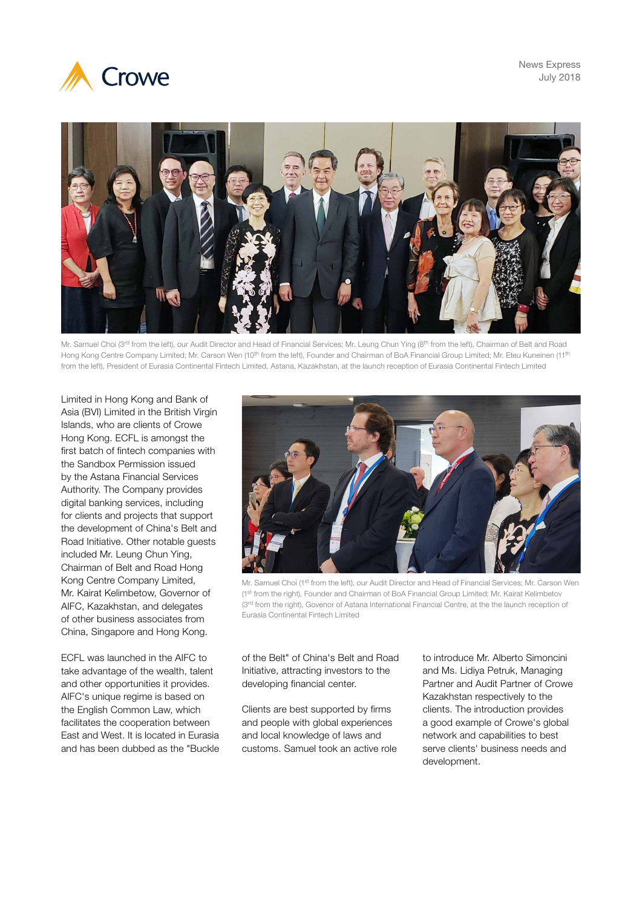





Mr. Samuel Choi (3<sup>rd</sup> from the left), our Audit Director and Head of Financial Services; Mr. Leung Chun Ying (8<sup>th</sup> from the left), Chairman of Belt and Road Hong Kong Centre Company Limited; Mr. Carson Wen (10<sup>th</sup> from the left), Founder and Chairman of BoA Financial Group Limited; Mr. Eteu Kuneinen (11<sup>th</sup> from the left), President of Eurasia Continental Fintech Limited, Astana, Kazakhstan, at the launch reception of Eurasia Continental Fintech Limited

Limited in Hong Kong and Bank of Asia (BVI) Limited in the British Virgin Islands, who are clients of Crowe Hong Kong. ECFL is amongst the first batch of fintech companies with the Sandbox Permission issued by the Astana Financial Services Authority. The Company provides digital banking services, including for clients and projects that support the development of China's Belt and Road Initiative. Other notable guests included Mr. Leung Chun Ying, Chairman of Belt and Road Hong Kong Centre Company Limited, Mr. Kairat Kelimbetow, Governor of AIFC, Kazakhstan, and delegates of other business associates from China, Singapore and Hong Kong.

ECFL was launched in the AIFC to take advantage of the wealth, talent and other opportunities it provides. AIFC's unique regime is based on the English Common Law, which facilitates the cooperation between East and West. It is located in Eurasia and has been dubbed as the "Buckle



Mr. Samuel Choi (1st from the left), our Audit Director and Head of Financial Services; Mr. Carson Wen (1st from the right), Founder and Chairman of BoA Financial Group Limited; Mr. Kairat Kelimbetov (3<sup>rd</sup> from the right), Govenor of Astana International Financial Centre, at the the launch reception of Eurasia Continental Fintech Limited

of the Belt" of China's Belt and Road Initiative, attracting investors to the developing financial center.

Clients are best supported by firms and people with global experiences and local knowledge of laws and customs. Samuel took an active role to introduce Mr. Alberto Simoncini and Ms. Lidiya Petruk, Managing Partner and Audit Partner of Crowe Kazakhstan respectively to the clients. The introduction provides a good example of Crowe's global network and capabilities to best serve clients' business needs and development.